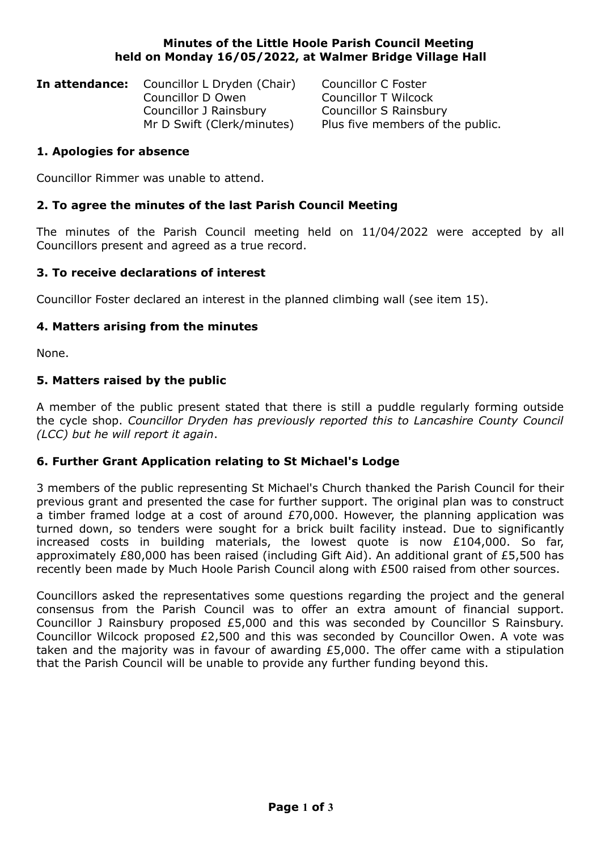#### **Minutes of the Little Hoole Parish Council Meeting held on Monday 16/05/2022, at Walmer Bridge Village Hall**

| <b>In attendance:</b> Councillor L Dryden (Chair) |
|---------------------------------------------------|
| Councillor D Owen                                 |
| Councillor J Rainsbury                            |
| Mr D Swift (Clerk/minutes)                        |

**Councillor C Foster** Councillor T Wilcock Councillor S Rainsbury Plus five members of the public.

# **1. Apologies for absence**

Councillor Rimmer was unable to attend.

# **2. To agree the minutes of the last Parish Council Meeting**

The minutes of the Parish Council meeting held on 11/04/2022 were accepted by all Councillors present and agreed as a true record.

# **3. To receive declarations of interest**

Councillor Foster declared an interest in the planned climbing wall (see item 15).

# **4. Matters arising from the minutes**

None.

#### **5. Matters raised by the public**

A member of the public present stated that there is still a puddle regularly forming outside the cycle shop. *Councillor Dryden has previously reported this to Lancashire County Council (LCC) but he will report it again*.

# **6. Further Grant Application relating to St Michael's Lodge**

3 members of the public representing St Michael's Church thanked the Parish Council for their previous grant and presented the case for further support. The original plan was to construct a timber framed lodge at a cost of around £70,000. However, the planning application was turned down, so tenders were sought for a brick built facility instead. Due to significantly increased costs in building materials, the lowest quote is now £104,000. So far, approximately £80,000 has been raised (including Gift Aid). An additional grant of £5,500 has recently been made by Much Hoole Parish Council along with £500 raised from other sources.

Councillors asked the representatives some questions regarding the project and the general consensus from the Parish Council was to offer an extra amount of financial support. Councillor J Rainsbury proposed £5,000 and this was seconded by Councillor S Rainsbury. Councillor Wilcock proposed £2,500 and this was seconded by Councillor Owen. A vote was taken and the majority was in favour of awarding £5,000. The offer came with a stipulation that the Parish Council will be unable to provide any further funding beyond this.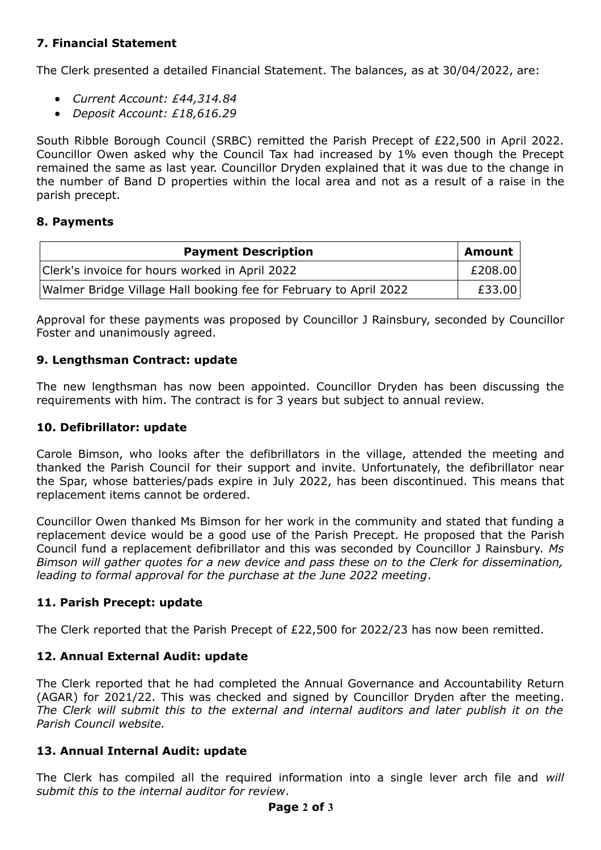# **7. Financial Statement**

The Clerk presented a detailed Financial Statement. The balances, as at 30/04/2022, are:

- *Current Account: £44,314.84*
- *Deposit Account: £18,616.29*

South Ribble Borough Council (SRBC) remitted the Parish Precept of £22,500 in April 2022. Councillor Owen asked why the Council Tax had increased by 1% even though the Precept remained the same as last year. Councillor Dryden explained that it was due to the change in the number of Band D properties within the local area and not as a result of a raise in the parish precept.

# **8. Payments**

| <b>Payment Description</b>                                        | Amount  |
|-------------------------------------------------------------------|---------|
| Clerk's invoice for hours worked in April 2022                    | £208.00 |
| Walmer Bridge Village Hall booking fee for February to April 2022 | £33.00  |

Approval for these payments was proposed by Councillor J Rainsbury, seconded by Councillor Foster and unanimously agreed.

# **9. Lengthsman Contract: update**

The new lengthsman has now been appointed. Councillor Dryden has been discussing the requirements with him. The contract is for 3 years but subject to annual review.

#### **10. Defibrillator: update**

Carole Bimson, who looks after the defibrillators in the village, attended the meeting and thanked the Parish Council for their support and invite. Unfortunately, the defibrillator near the Spar, whose batteries/pads expire in July 2022, has been discontinued. This means that replacement items cannot be ordered.

Councillor Owen thanked Ms Bimson for her work in the community and stated that funding a replacement device would be a good use of the Parish Precept. He proposed that the Parish Council fund a replacement defibrillator and this was seconded by Councillor J Rainsbury. *Ms Bimson will gather quotes for a new device and pass these on to the Clerk for dissemination, leading to formal approval for the purchase at the June 2022 meeting*.

# **11. Parish Precept: update**

The Clerk reported that the Parish Precept of £22,500 for 2022/23 has now been remitted.

# **12. Annual External Audit: update**

The Clerk reported that he had completed the Annual Governance and Accountability Return (AGAR) for 2021/22. This was checked and signed by Councillor Dryden after the meeting. *The Clerk will submit this to the external and internal auditors and later publish it on the Parish Council website.*

# **13. Annual Internal Audit: update**

The Clerk has compiled all the required information into a single lever arch file and *will submit this to the internal auditor for review*.